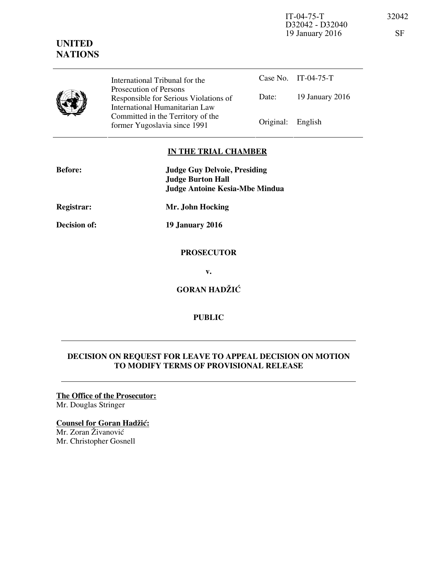IT-04-75-T 32042 D32042 - D32040 19 January 2016 SF

# **UNITED NATIONS**

International Tribunal for the Prosecution of Persons Responsible for Serious Violations of International Humanitarian Law Committed in the Territory of the Former Yugoslavia since 1991 Original: English

Case No. IT-04-75-T Date: 19 January 2016

# **IN THE TRIAL CHAMBER**

| <b>Before:</b> | <b>Judge Guy Delvoie, Presiding</b><br><b>Judge Burton Hall</b><br><b>Judge Antoine Kesia-Mbe Mindua</b> |
|----------------|----------------------------------------------------------------------------------------------------------|
| Registrar:     | Mr. John Hocking                                                                                         |
| Decision of:   | <b>19 January 2016</b>                                                                                   |
|                | <b>PROSECUTOR</b>                                                                                        |
|                | v.                                                                                                       |

**GORAN HADŽIĆ** 

## **PUBLIC**

#### **DECISION ON REQUEST FOR LEAVE TO APPEAL DECISION ON MOTION TO MODIFY TERMS OF PROVISIONAL RELEASE**

# **The Office of the Prosecutor:**

Mr. Douglas Stringer

## **Counsel for Goran Hadžić:**

Mr. Zoran Živanović Mr. Christopher Gosnell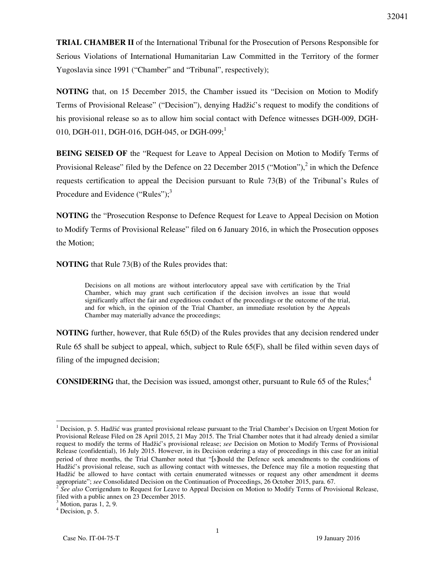**TRIAL CHAMBER II** of the International Tribunal for the Prosecution of Persons Responsible for Serious Violations of International Humanitarian Law Committed in the Territory of the former Yugoslavia since 1991 ("Chamber" and "Tribunal", respectively);

**NOTING** that, on 15 December 2015, the Chamber issued its "Decision on Motion to Modify Terms of Provisional Release" ("Decision"), denying Hadžić's request to modify the conditions of his provisional release so as to allow him social contact with Defence witnesses DGH-009, DGH-010, DGH-011, DGH-016, DGH-045, or DGH-099;<sup>1</sup>

**BEING SEISED OF** the "Request for Leave to Appeal Decision on Motion to Modify Terms of Provisional Release" filed by the Defence on 22 December 2015 ("Motion"), $^2$  in which the Defence requests certification to appeal the Decision pursuant to Rule 73(B) of the Tribunal's Rules of Procedure and Evidence ("Rules"); $3$ 

**NOTING** the "Prosecution Response to Defence Request for Leave to Appeal Decision on Motion to Modify Terms of Provisional Release" filed on 6 January 2016, in which the Prosecution opposes the Motion;

**NOTING** that Rule 73(B) of the Rules provides that:

Decisions on all motions are without interlocutory appeal save with certification by the Trial Chamber, which may grant such certification if the decision involves an issue that would significantly affect the fair and expeditious conduct of the proceedings or the outcome of the trial, and for which, in the opinion of the Trial Chamber, an immediate resolution by the Appeals Chamber may materially advance the proceedings;

**NOTING** further, however, that Rule 65(D) of the Rules provides that any decision rendered under Rule 65 shall be subject to appeal, which, subject to Rule 65(F), shall be filed within seven days of filing of the impugned decision;

**CONSIDERING** that, the Decision was issued, amongst other, pursuant to Rule 65 of the Rules;<sup>4</sup>

 $\overline{a}$ 

 $1$  Decision, p. 5. Hadžić was granted provisional release pursuant to the Trial Chamber's Decision on Urgent Motion for Provisional Release Filed on 28 April 2015, 21 May 2015. The Trial Chamber notes that it had already denied a similar request to modify the terms of Hadžić's provisional release; *see* Decision on Motion to Modify Terms of Provisional Release (confidential), 16 July 2015. However, in its Decision ordering a stay of proceedings in this case for an initial period of three months, the Trial Chamber noted that "[s]hould the Defence seek amendments to the conditions of Hadžić's provisional release, such as allowing contact with witnesses, the Defence may file a motion requesting that Hadžić be allowed to have contact with certain enumerated witnesses or request any other amendment it deems appropriate"; *see* Consolidated Decision on the Continuation of Proceedings, 26 October 2015, para. 67.

<sup>&</sup>lt;sup>2</sup> See also Corrigendum to Request for Leave to Appeal Decision on Motion to Modify Terms of Provisional Release, filed with a public annex on 23 December 2015.

 $3$  Motion, paras 1, 2, 9.

<sup>4</sup> Decision, p. 5.